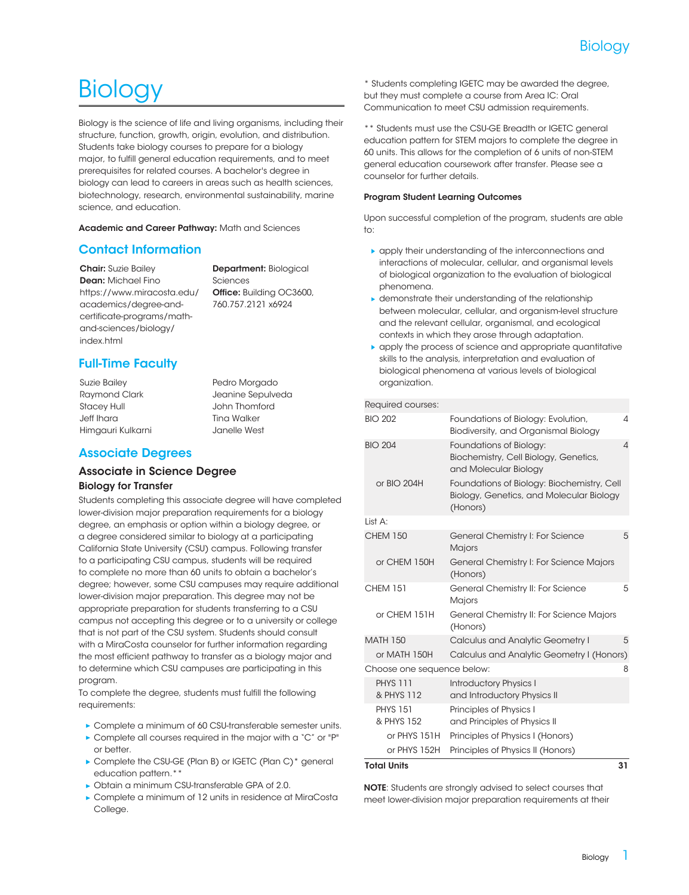# **Biology**

Biology is the science of life and living organisms, including their structure, function, growth, origin, evolution, and distribution. Students take biology courses to prepare for a biology major, to fulfill general education requirements, and to meet prerequisites for related courses. A bachelor's degree in biology can lead to careers in areas such as health sciences, biotechnology, research, environmental sustainability, marine science, and education.

Academic and Career Pathway: [Math and Sciences](https://www.miracosta.edu/academics/degree-and-certificate-programs/math-and-sciences/)

## Contact Information

**Chair:** Suzie Bailey Dean: Michael Fino [https://www.miracosta.edu/](https://www.miracosta.edu/academics/degree-and-certificate-programs/math-and-sciences/biology/) [academics/degree-and](https://www.miracosta.edu/academics/degree-and-certificate-programs/math-and-sciences/biology/)[certificate-programs/math](https://www.miracosta.edu/academics/degree-and-certificate-programs/math-and-sciences/biology/)[and-sciences/biology/](https://www.miracosta.edu/academics/degree-and-certificate-programs/math-and-sciences/biology/) [index.html](https://www.miracosta.edu/academics/degree-and-certificate-programs/math-and-sciences/biology/)

Department: Biological Sciences Office: Building OC3600, 760.757.2121 x6924

## Full-Time Faculty

Suzie Bailey Raymond Clark Stacey Hull Jeff Ihara Himgauri Kulkarni Pedro Morgado Jeanine Sepulveda John Thomford Tina Walker Janelle West

## Associate Degrees

#### Associate in Science Degree Biology for Transfer

Students completing this associate degree will have completed lower-division major preparation requirements for a biology degree, an emphasis or option within a biology degree, or a degree considered similar to biology at a participating California State University (CSU) campus. Following transfer to a participating CSU campus, students will be required to complete no more than 60 units to obtain a bachelor's degree; however, some CSU campuses may require additional lower-division major preparation. This degree may not be appropriate preparation for students transferring to a CSU campus not accepting this degree or to a university or college that is not part of the CSU system. Students should consult with a MiraCosta counselor for further information regarding the most efficient pathway to transfer as a biology major and to determine which CSU campuses are participating in this program.

To complete the degree, students must fulfill the following requirements:

- ▶ Complete a minimum of 60 CSU-transferable semester units.
- ▶ Complete all courses required in the major with a "C" or "P" or better.
- ▶ Complete the CSU-GE [\(Plan B](http://catalog.miracosta.edu/degreecertificatetransferinfo/generaleducationplans/planb/)) or IGETC ([Plan C](http://catalog.miracosta.edu/degreecertificatetransferinfo/generaleducationplans/planc/))\* general education pattern.\*\*
- ▶ Obtain a minimum CSU-transferable GPA of 2.0.
- Complete a minimum of 12 units in residence at MiraCosta College.

\* Students completing IGETC may be awarded the degree, but they must complete a course from Area IC: Oral Communication to meet CSU admission requirements.

\*\* Students must use the CSU-GE Breadth or IGETC general education pattern for STEM majors to complete the degree in 60 units. This allows for the completion of 6 units of non-STEM general education coursework after transfer. Please see a counselor for further details.

#### Program Student Learning Outcomes

Upon successful completion of the program, students are able to:

- apply their understanding of the interconnections and interactions of molecular, cellular, and organismal levels of biological organization to the evaluation of biological phenomena.
- demonstrate their understanding of the relationship between molecular, cellular, and organism-level structure and the relevant cellular, organismal, and ecological contexts in which they arose through adaptation.
- apply the process of science and appropriate quantitative skills to the analysis, interpretation and evaluation of biological phenomena at various levels of biological organization.

#### Required courses:

| <b>BIO 202</b>                | Foundations of Biology: Evolution,<br>Biodiversity, and Organismal Biology                         | 4        |
|-------------------------------|----------------------------------------------------------------------------------------------------|----------|
| <b>BIO 204</b>                | Foundations of Biology:<br>Biochemistry, Cell Biology, Genetics,<br>and Molecular Biology          | $\Delta$ |
| or BIO 204H                   | Foundations of Biology: Biochemistry, Cell<br>Biology, Genetics, and Molecular Biology<br>(Honors) |          |
| List A:                       |                                                                                                    |          |
| <b>CHEM 150</b>               | General Chemistry I: For Science<br><b>Majors</b>                                                  | 5        |
| or CHEM 150H                  | General Chemistry I: For Science Majors<br>(Honors)                                                |          |
| <b>CHEM 151</b>               | General Chemistry II: For Science<br>Majors                                                        | 5        |
| or CHEM 151H                  | General Chemistry II: For Science Majors<br>(Honors)                                               |          |
| <b>MATH 150</b>               | <b>Calculus and Analytic Geometry I</b>                                                            | 5        |
| or MATH 150H                  | Calculus and Analytic Geometry I (Honors)                                                          |          |
| Choose one sequence below:    |                                                                                                    | 8        |
| <b>PHYS 111</b><br>& PHYS 112 | <b>Introductory Physics I</b><br>and Introductory Physics II                                       |          |
| <b>PHYS 151</b>               | Principles of Physics I                                                                            |          |
| & PHYS 152                    | and Principles of Physics II                                                                       |          |
| or PHYS 151H                  | Principles of Physics I (Honors)                                                                   |          |
| or PHYS 152H                  | Principles of Physics II (Honors)                                                                  |          |
| <b>Total Units</b>            |                                                                                                    | 31       |

NOTE: Students are strongly advised to select courses that meet lower-division major preparation requirements at their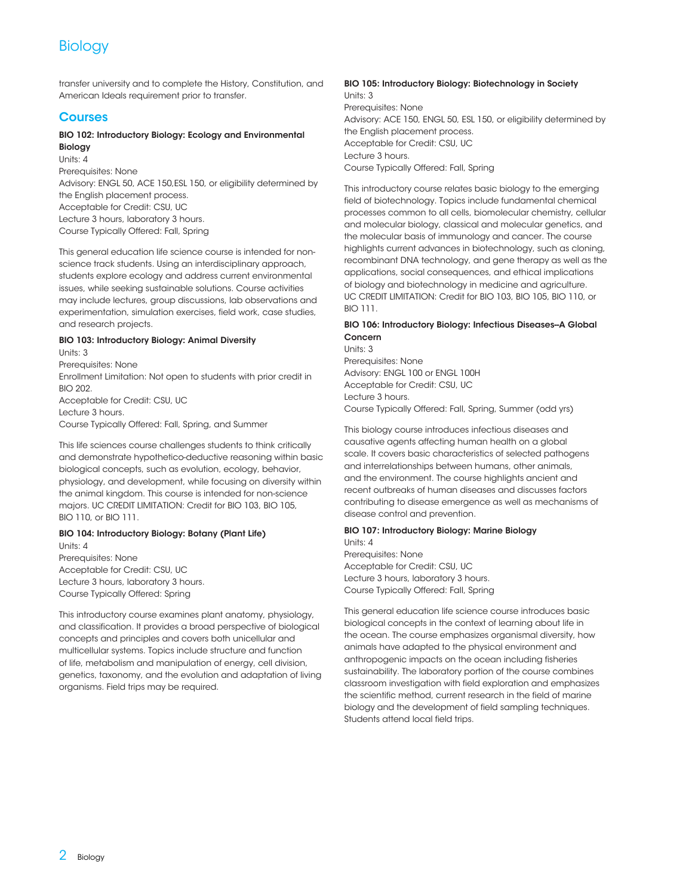## **Biology**

transfer university and to complete the History, Constitution, and American Ideals requirement prior to transfer.

### **Courses**

#### BIO 102: Introductory Biology: Ecology and Environmental Biology

Units: 4

Prerequisites: None Advisory: [ENGL 50](/search/?P=ENGL%2050), [ACE 150](/search/?P=ACE%20150)[,ESL 150,](/search/?P=ESL%20150) or eligibility determined by the English placement process. Acceptable for Credit: CSU, UC Lecture 3 hours, laboratory 3 hours. Course Typically Offered: Fall, Spring

This general education life science course is intended for nonscience track students. Using an interdisciplinary approach, students explore ecology and address current environmental issues, while seeking sustainable solutions. Course activities may include lectures, group discussions, lab observations and experimentation, simulation exercises, field work, case studies, and research projects.

#### BIO 103: Introductory Biology: Animal Diversity

Units: 3 Prerequisites: None Enrollment Limitation: Not open to students with prior credit in [BIO 202](/search/?P=BIO%20202). Acceptable for Credit: CSU, UC

Lecture 3 hours. Course Typically Offered: Fall, Spring, and Summer

This life sciences course challenges students to think critically and demonstrate hypothetico-deductive reasoning within basic biological concepts, such as evolution, ecology, behavior, physiology, and development, while focusing on diversity within the animal kingdom. This course is intended for non-science majors. UC CREDIT LIMITATION: Credit for [BIO 103,](/search/?P=BIO%20103) [BIO 105,](/search/?P=BIO%20105) [BIO 110](/search/?P=BIO%20110), or [BIO 111](/search/?P=BIO%20111).

#### BIO 104: Introductory Biology: Botany (Plant Life) Units: 4

Prerequisites: None Acceptable for Credit: CSU, UC Lecture 3 hours, laboratory 3 hours. Course Typically Offered: Spring

This introductory course examines plant anatomy, physiology, and classification. It provides a broad perspective of biological concepts and principles and covers both unicellular and multicellular systems. Topics include structure and function of life, metabolism and manipulation of energy, cell division, genetics, taxonomy, and the evolution and adaptation of living organisms. Field trips may be required.

#### BIO 105: Introductory Biology: Biotechnology in Society Units: 3 Prerequisites: None Advisory: [ACE 150](/search/?P=ACE%20150), [ENGL 50](/search/?P=ENGL%2050), [ESL 150](/search/?P=ESL%20150), or eligibility determined by the English placement process. Acceptable for Credit: CSU, UC Lecture 3 hours.

Course Typically Offered: Fall, Spring

This introductory course relates basic biology to the emerging field of biotechnology. Topics include fundamental chemical processes common to all cells, biomolecular chemistry, cellular and molecular biology, classical and molecular genetics, and the molecular basis of immunology and cancer. The course highlights current advances in biotechnology, such as cloning, recombinant DNA technology, and gene therapy as well as the applications, social consequences, and ethical implications of biology and biotechnology in medicine and agriculture. UC CREDIT LIMITATION: Credit for [BIO 103,](/search/?P=BIO%20103) [BIO 105,](/search/?P=BIO%20105) [BIO 110](/search/?P=BIO%20110), or [BIO 111](/search/?P=BIO%20111).

#### BIO 106: Introductory Biology: Infectious Diseases-A Global Concern

Units: 3 Prerequisites: None Advisory: [ENGL 100](/search/?P=ENGL%20100) or [ENGL 100H](/search/?P=ENGL%20100H) Acceptable for Credit: CSU, UC Lecture 3 hours. Course Typically Offered: Fall, Spring, Summer (odd yrs)

This biology course introduces infectious diseases and causative agents affecting human health on a global scale. It covers basic characteristics of selected pathogens and interrelationships between humans, other animals, and the environment. The course highlights ancient and recent outbreaks of human diseases and discusses factors contributing to disease emergence as well as mechanisms of disease control and prevention.

#### BIO 107: Introductory Biology: Marine Biology Units: 4

Prerequisites: None Acceptable for Credit: CSU, UC Lecture 3 hours, laboratory 3 hours. Course Typically Offered: Fall, Spring

This general education life science course introduces basic biological concepts in the context of learning about life in the ocean. The course emphasizes organismal diversity, how animals have adapted to the physical environment and anthropogenic impacts on the ocean including fisheries sustainability. The laboratory portion of the course combines classroom investigation with field exploration and emphasizes the scientific method, current research in the field of marine biology and the development of field sampling techniques. Students attend local field trips.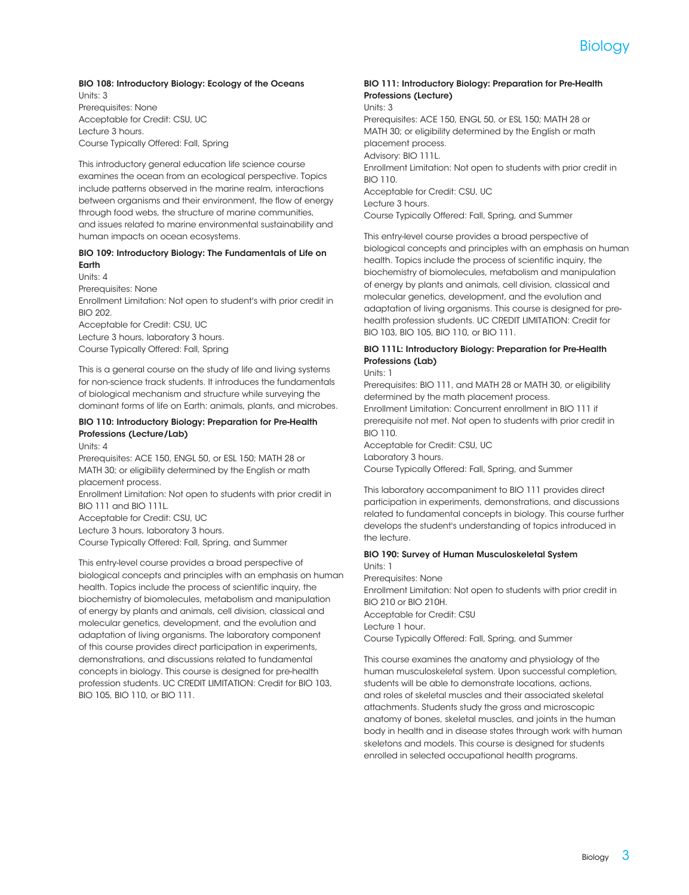

#### BIO 108: Introductory Biology: Ecology of the Oceans Units: 3

Prerequisites: None Acceptable for Credit: CSU, UC Lecture 3 hours. Course Typically Offered: Fall, Spring

This introductory general education life science course examines the ocean from an ecological perspective. Topics include patterns observed in the marine realm, interactions between organisms and their environment, the flow of energy through food webs, the structure of marine communities, and issues related to marine environmental sustainability and human impacts on ocean ecosystems.

#### BIO 109: Introductory Biology: The Fundamentals of Life on Earth

Units: 4 Prerequisites: None Enrollment Limitation: Not open to student's with prior credit in [BIO 202](/search/?P=BIO%20202). Acceptable for Credit: CSU, UC Lecture 3 hours, laboratory 3 hours.

Course Typically Offered: Fall, Spring

This is a general course on the study of life and living systems for non-science track students. It introduces the fundamentals of biological mechanism and structure while surveying the dominant forms of life on Earth: animals, plants, and microbes.

#### BIO 110: Introductory Biology: Preparation for Pre-Health Professions (Lecture/Lab)

Units: 4

Prerequisites: [ACE 150,](/search/?P=ACE%20150) [ENGL 50,](/search/?P=ENGL%2050) or [ESL 150](/search/?P=ESL%20150); [MATH 28](/search/?P=MATH%2028) or [MATH 30;](/search/?P=MATH%2030) or eligibility determined by the English or math placement process.

Enrollment Limitation: Not open to students with prior credit in [BIO 111](/search/?P=BIO%20111) and [BIO 111L](/search/?P=BIO%20111L).

Acceptable for Credit: CSU, UC

Lecture 3 hours, laboratory 3 hours.

Course Typically Offered: Fall, Spring, and Summer

This entry-level course provides a broad perspective of biological concepts and principles with an emphasis on human health. Topics include the process of scientific inquiry, the biochemistry of biomolecules, metabolism and manipulation of energy by plants and animals, cell division, classical and molecular genetics, development, and the evolution and adaptation of living organisms. The laboratory component of this course provides direct participation in experiments, demonstrations, and discussions related to fundamental concepts in biology. This course is designed for pre-health profession students. UC CREDIT LIMITATION: Credit for [BIO 103,](/search/?P=BIO%20103) [BIO 105](/search/?P=BIO%20105), [BIO 110](/search/?P=BIO%20110), or [BIO 111](/search/?P=BIO%20111).

#### BIO 111: Introductory Biology: Preparation for Pre-Health Professions (Lecture) Units: 3

Prerequisites: [ACE 150,](/search/?P=ACE%20150) [ENGL 50,](/search/?P=ENGL%2050) or [ESL 150](/search/?P=ESL%20150); [MATH 28](/search/?P=MATH%2028) or [MATH 30;](/search/?P=MATH%2030) or eligibility determined by the English or math placement process. Advisory: [BIO 111L.](/search/?P=BIO%20111L) Enrollment Limitation: Not open to students with prior credit in [BIO 110](/search/?P=BIO%20110). Acceptable for Credit: CSU, UC Lecture 3 hours. Course Typically Offered: Fall, Spring, and Summer

This entry-level course provides a broad perspective of biological concepts and principles with an emphasis on human health. Topics include the process of scientific inquiry, the biochemistry of biomolecules, metabolism and manipulation of energy by plants and animals, cell division, classical and molecular genetics, development, and the evolution and adaptation of living organisms. This course is designed for prehealth profession students. UC CREDIT LIMITATION: Credit for [BIO 103](/search/?P=BIO%20103), [BIO 105](/search/?P=BIO%20105), [BIO 110](/search/?P=BIO%20110), or [BIO 111](/search/?P=BIO%20111).

#### BIO 111L: Introductory Biology: Preparation for Pre-Health Professions (Lab)

Units: 1

Prerequisites: [BIO 111,](/search/?P=BIO%20111) and [MATH 28](/search/?P=MATH%2028) or [MATH 30](/search/?P=MATH%2030), or eligibility determined by the math placement process. Enrollment Limitation: Concurrent enrollment in [BIO 111](/search/?P=BIO%20111) if prerequisite not met. Not open to students with prior credit in [BIO 110](/search/?P=BIO%20110). Acceptable for Credit: CSU, UC

Laboratory 3 hours.

Course Typically Offered: Fall, Spring, and Summer

This laboratory accompaniment to [BIO 111](/search/?P=BIO%20111) provides direct participation in experiments, demonstrations, and discussions related to fundamental concepts in biology. This course further develops the student's understanding of topics introduced in the lecture.

#### BIO 190: Survey of Human Musculoskeletal System Units: 1

Prerequisites: None

Enrollment Limitation: Not open to students with prior credit in [BIO 210](/search/?P=BIO%20210) or [BIO 210H](/search/?P=BIO%20210H). Acceptable for Credit: CSU

Lecture 1 hour.

Course Typically Offered: Fall, Spring, and Summer

This course examines the anatomy and physiology of the human musculoskeletal system. Upon successful completion, students will be able to demonstrate locations, actions, and roles of skeletal muscles and their associated skeletal attachments. Students study the gross and microscopic anatomy of bones, skeletal muscles, and joints in the human body in health and in disease states through work with human skeletons and models. This course is designed for students enrolled in selected occupational health programs.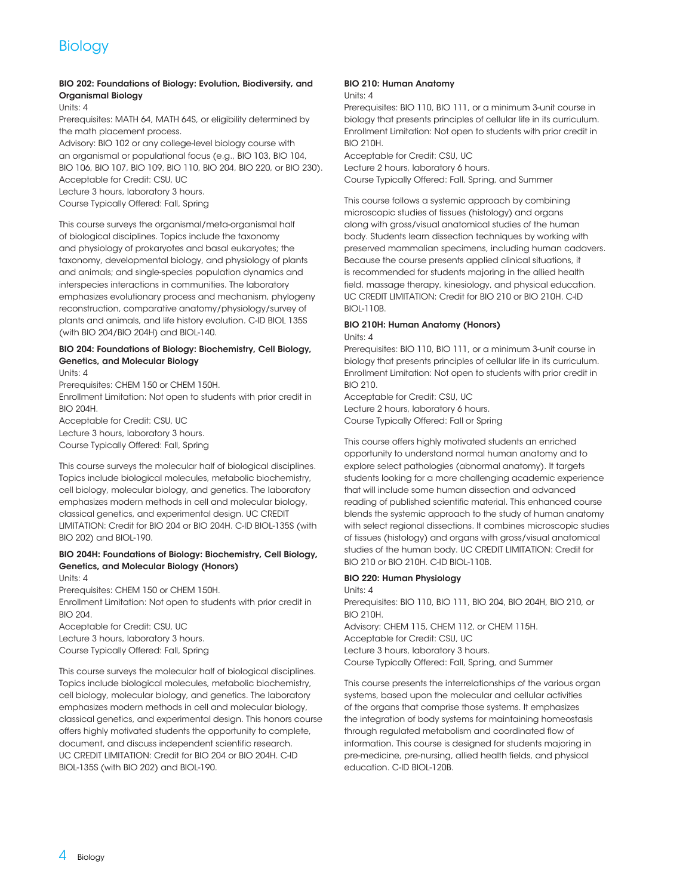## **Biology**

#### BIO 202: Foundations of Biology: Evolution, Biodiversity, and Organismal Biology

Units: 4

Prerequisites: [MATH 64,](/search/?P=MATH%2064) [MATH 64S](/search/?P=MATH%2064S), or eligibility determined by the math placement process.

Advisory: [BIO 102](/search/?P=BIO%20102) or any college-level biology course with an organismal or populational focus (e.g., [BIO 103,](/search/?P=BIO%20103) [BIO 104,](/search/?P=BIO%20104) [BIO 106](/search/?P=BIO%20106), [BIO 107](/search/?P=BIO%20107), [BIO 109](/search/?P=BIO%20109), [BIO 110](/search/?P=BIO%20110), [BIO 204](/search/?P=BIO%20204), [BIO 220](/search/?P=BIO%20220), or [BIO 230\)](/search/?P=BIO%20230). Acceptable for Credit: CSU, UC

Lecture 3 hours, laboratory 3 hours.

Course Typically Offered: Fall, Spring

This course surveys the organismal/meta-organismal half of biological disciplines. Topics include the taxonomy and physiology of prokaryotes and basal eukaryotes; the taxonomy, developmental biology, and physiology of plants and animals; and single-species population dynamics and interspecies interactions in communities. The laboratory emphasizes evolutionary process and mechanism, phylogeny reconstruction, comparative anatomy/physiology/survey of plants and animals, and life history evolution. C-ID BIOL 135S (with [BIO 204](/search/?P=BIO%20204)[/BIO 204H](/search/?P=BIO%20204H)) and BIOL-140.

#### BIO 204: Foundations of Biology: Biochemistry, Cell Biology, Genetics, and Molecular Biology

Units: 4

Prerequisites: [CHEM 150](/search/?P=CHEM%20150) or [CHEM 150H](/search/?P=CHEM%20150H).

Enrollment Limitation: Not open to students with prior credit in [BIO 204H.](/search/?P=BIO%20204H)

Acceptable for Credit: CSU, UC Lecture 3 hours, laboratory 3 hours.

Course Typically Offered: Fall, Spring

This course surveys the molecular half of biological disciplines. Topics include biological molecules, metabolic biochemistry, cell biology, molecular biology, and genetics. The laboratory emphasizes modern methods in cell and molecular biology, classical genetics, and experimental design. UC CREDIT LIMITATION: Credit for [BIO 204](/search/?P=BIO%20204) or [BIO 204H.](/search/?P=BIO%20204H) C-ID BIOL-135S (with [BIO 202](/search/?P=BIO%20202)) and BIOL-190.

#### BIO 204H: Foundations of Biology: Biochemistry, Cell Biology, Genetics, and Molecular Biology (Honors)

Units: 4

Prerequisites: [CHEM 150](/search/?P=CHEM%20150) or [CHEM 150H](/search/?P=CHEM%20150H). Enrollment Limitation: Not open to students with prior credit in **[BIO 204](/search/?P=BIO%20204)** 

Acceptable for Credit: CSU, UC Lecture 3 hours, laboratory 3 hours. Course Typically Offered: Fall, Spring

This course surveys the molecular half of biological disciplines. Topics include biological molecules, metabolic biochemistry, cell biology, molecular biology, and genetics. The laboratory emphasizes modern methods in cell and molecular biology, classical genetics, and experimental design. This honors course offers highly motivated students the opportunity to complete, document, and discuss independent scientific research. UC CREDIT LIMITATION: Credit for [BIO 204](/search/?P=BIO%20204) or [BIO 204H](/search/?P=BIO%20204H). C-ID BIOL-135S (with [BIO 202](/search/?P=BIO%20202)) and BIOL-190.

#### BIO 210: Human Anatomy

Units: 4

Prerequisites: [BIO 110,](/search/?P=BIO%20110) [BIO 111,](/search/?P=BIO%20111) or a minimum 3-unit course in biology that presents principles of cellular life in its curriculum. Enrollment Limitation: Not open to students with prior credit in [BIO 210H.](/search/?P=BIO%20210H)

Acceptable for Credit: CSU, UC Lecture 2 hours, laboratory 6 hours. Course Typically Offered: Fall, Spring, and Summer

This course follows a systemic approach by combining microscopic studies of tissues (histology) and organs along with gross/visual anatomical studies of the human body. Students learn dissection techniques by working with preserved mammalian specimens, including human cadavers. Because the course presents applied clinical situations, it is recommended for students majoring in the allied health field, massage therapy, kinesiology, and physical education. UC CREDIT LIMITATION: Credit for [BIO 210](/search/?P=BIO%20210) or [BIO 210H](/search/?P=BIO%20210H). C-ID BIOL-110B.

#### BIO 210H: Human Anatomy (Honors) Units: 4

Prerequisites: [BIO 110,](/search/?P=BIO%20110) [BIO 111,](/search/?P=BIO%20111) or a minimum 3-unit course in biology that presents principles of cellular life in its curriculum. Enrollment Limitation: Not open to students with prior credit in [BIO 210](/search/?P=BIO%20210).

Acceptable for Credit: CSU, UC Lecture 2 hours, laboratory 6 hours. Course Typically Offered: Fall or Spring

This course offers highly motivated students an enriched opportunity to understand normal human anatomy and to explore select pathologies (abnormal anatomy). It targets students looking for a more challenging academic experience that will include some human dissection and advanced reading of published scientific material. This enhanced course blends the systemic approach to the study of human anatomy with select regional dissections. It combines microscopic studies of tissues (histology) and organs with gross/visual anatomical studies of the human body. UC CREDIT LIMITATION: Credit for [BIO 210](/search/?P=BIO%20210) or [BIO 210H](/search/?P=BIO%20210H). C-ID BIOL-110B.

#### BIO 220: Human Physiology

Units: 4

Prerequisites: [BIO 110,](/search/?P=BIO%20110) [BIO 111,](/search/?P=BIO%20111) [BIO 204,](/search/?P=BIO%20204) [BIO 204H,](/search/?P=BIO%20204H) [BIO 210,](/search/?P=BIO%20210) or [BIO 210H.](/search/?P=BIO%20210H)

Advisory: [CHEM 115](/search/?P=CHEM%20115), [CHEM 112](/search/?P=CHEM%20112), or [CHEM 115H](/search/?P=CHEM%20115H). Acceptable for Credit: CSU, UC Lecture 3 hours, laboratory 3 hours. Course Typically Offered: Fall, Spring, and Summer

This course presents the interrelationships of the various organ systems, based upon the molecular and cellular activities of the organs that comprise those systems. It emphasizes the integration of body systems for maintaining homeostasis through regulated metabolism and coordinated flow of information. This course is designed for students majoring in pre-medicine, pre-nursing, allied health fields, and physical education. C-ID BIOL-120B.